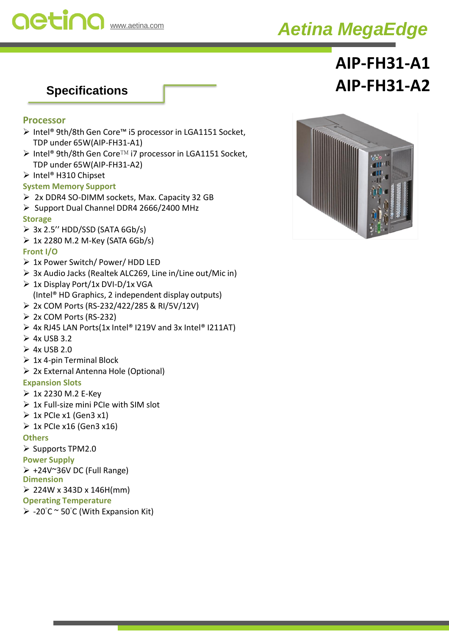

## *Aetina MegaEdge*

# **AIP-FH31-A1 Specifications AIP-FH31-A2**

#### **Processor**

- ➢ Intel® 9th/8th Gen Core™ i5 processor in LGA1151 Socket, TDP under 65W(AIP-FH31-A1)
- ➢ Intel® 9th/8th Gen Core™ i7 processor in LGA1151 Socket, TDP under 65W(AIP-FH31-A2)
- ➢ Intel® H310 Chipset

#### **System Memory Support**

- ➢ 2x DDR4 SO-DIMM sockets, Max. Capacity 32 GB
- ➢ Support Dual Channel DDR4 2666/2400 MHz

### **Storage**

- $\geq 3x$  2.5" HDD/SSD (SATA 6Gb/s)
- $\geq 1x$  2280 M.2 M-Key (SATA 6Gb/s)

### **Front I/O**

- ➢ 1x Power Switch/ Power/ HDD LED
- ➢ 3x Audio Jacks (Realtek ALC269, Line in/Line out/Mic in)
- ➢ 1x Display Port/1x DVI-D/1x VGA (Intel® HD Graphics, 2 independent display outputs)
- ➢ 2x COM Ports (RS-232/422/285 & RI/5V/12V)
- ➢ 2x COM Ports (RS-232)
- $\triangleright$  4x RJ45 LAN Ports(1x Intel® I219V and 3x Intel® I211AT)
- $\geq 4x$  USB 3.2
- $\geq 4x$  USB 2.0
- $\geq 1x$  4-pin Terminal Block
- ➢ 2x External Antenna Hole (Optional)

#### **Expansion Slots**

- ➢ 1x 2230 M.2 E-Key
- $\triangleright$  1x Full-size mini PCIe with SIM slot
- $\geq 1x$  PCIe x1 (Gen3 x1)
- $\geq 1$ x PCIe x16 (Gen3 x16)

#### **Others**

➢ Supports TPM2.0

- **Power Supply**
- ➢ +24V~36V DC (Full Range)

**Dimension**

- $\geq 224W \times 343D \times 146H$ (mm)
- **Operating Temperature**
- $\triangleright$  -20°C ~ 50°C (With Expansion Kit)